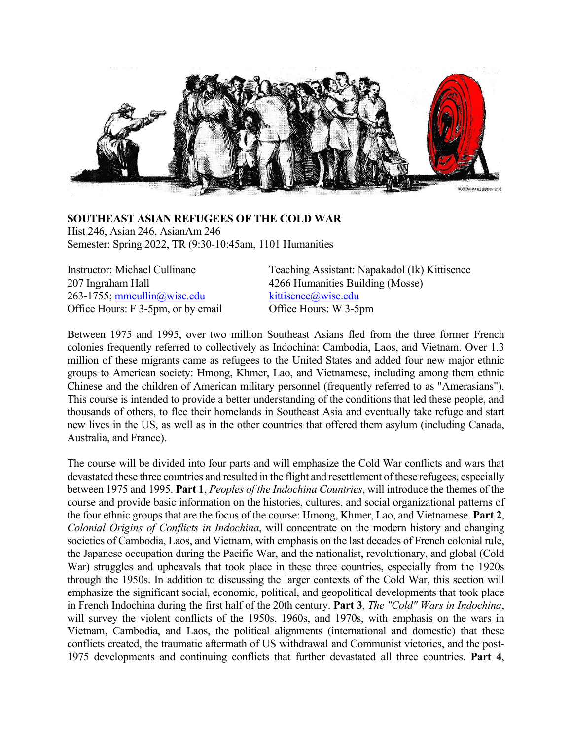

#### **SOUTHEAST ASIAN REFUGEES OF THE COLD WAR** Hist 246, Asian 246, AsianAm 246 Semester: Spring 2022, TR (9:30-10:45am, 1101 Humanities

263-1755; mmcullin@wisc.edu kittisenee@wisc.edu Office Hours: F 3-5pm, or by email Office Hours: W 3-5pm

Instructor: Michael Cullinane Teaching Assistant: Napakadol (Ik) Kittisenee 207 Ingraham Hall 4266 Humanities Building (Mosse)

Between 1975 and 1995, over two million Southeast Asians fled from the three former French colonies frequently referred to collectively as Indochina: Cambodia, Laos, and Vietnam. Over 1.3 million of these migrants came as refugees to the United States and added four new major ethnic groups to American society: Hmong, Khmer, Lao, and Vietnamese, including among them ethnic Chinese and the children of American military personnel (frequently referred to as "Amerasians"). This course is intended to provide a better understanding of the conditions that led these people, and thousands of others, to flee their homelands in Southeast Asia and eventually take refuge and start new lives in the US, as well as in the other countries that offered them asylum (including Canada, Australia, and France).

The course will be divided into four parts and will emphasize the Cold War conflicts and wars that devastated these three countries and resulted in the flight and resettlement of these refugees, especially between 1975 and 1995. **Part 1**, *Peoples of the Indochina Countries*, will introduce the themes of the course and provide basic information on the histories, cultures, and social organizational patterns of the four ethnic groups that are the focus of the course: Hmong, Khmer, Lao, and Vietnamese. **Part 2**, *Colonial Origins of Conflicts in Indochina*, will concentrate on the modern history and changing societies of Cambodia, Laos, and Vietnam, with emphasis on the last decades of French colonial rule, the Japanese occupation during the Pacific War, and the nationalist, revolutionary, and global (Cold War) struggles and upheavals that took place in these three countries, especially from the 1920s through the 1950s. In addition to discussing the larger contexts of the Cold War, this section will emphasize the significant social, economic, political, and geopolitical developments that took place in French Indochina during the first half of the 20th century. **Part 3**, *The "Cold" Wars in Indochina*, will survey the violent conflicts of the 1950s, 1960s, and 1970s, with emphasis on the wars in Vietnam, Cambodia, and Laos, the political alignments (international and domestic) that these conflicts created, the traumatic aftermath of US withdrawal and Communist victories, and the post-1975 developments and continuing conflicts that further devastated all three countries. **Part 4**,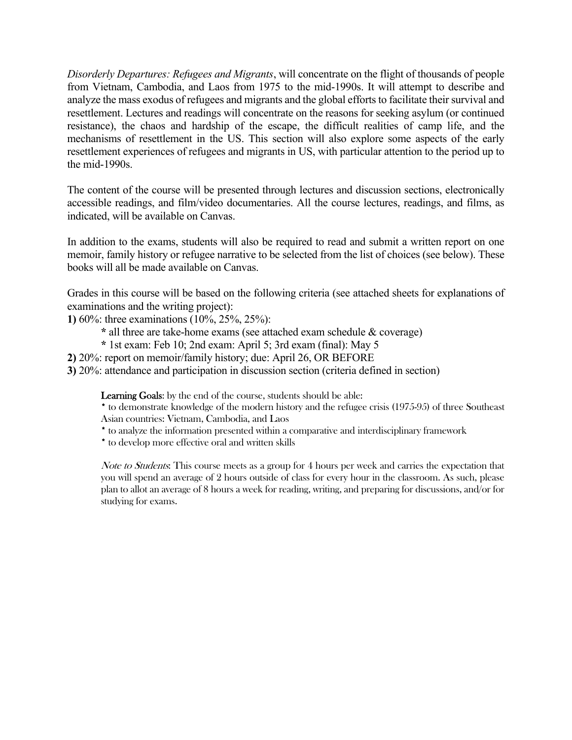*Disorderly Departures: Refugees and Migrants*, will concentrate on the flight of thousands of people from Vietnam, Cambodia, and Laos from 1975 to the mid-1990s. It will attempt to describe and analyze the mass exodus of refugees and migrants and the global efforts to facilitate their survival and resettlement. Lectures and readings will concentrate on the reasons for seeking asylum (or continued resistance), the chaos and hardship of the escape, the difficult realities of camp life, and the mechanisms of resettlement in the US. This section will also explore some aspects of the early resettlement experiences of refugees and migrants in US, with particular attention to the period up to the mid-1990s.

The content of the course will be presented through lectures and discussion sections, electronically accessible readings, and film/video documentaries. All the course lectures, readings, and films, as indicated, will be available on Canvas.

In addition to the exams, students will also be required to read and submit a written report on one memoir, family history or refugee narrative to be selected from the list of choices (see below). These books will all be made available on Canvas.

Grades in this course will be based on the following criteria (see attached sheets for explanations of examinations and the writing project):

**1)** 60%: three examinations (10%, 25%, 25%):

- **\*** all three are take-home exams (see attached exam schedule & coverage)
- **\*** 1st exam: Feb 10; 2nd exam: April 5; 3rd exam (final): May 5
- **2)** 20%: report on memoir/family history; due: April 26, OR BEFORE
- **3)** 20%: attendance and participation in discussion section (criteria defined in section)

Learning Goals: by the end of the course, students should be able:

- \* to demonstrate knowledge of the modern history and the refugee crisis (1975-95) of three Southeast Asian countries: Vietnam, Cambodia, and Laos
- \* to analyze the information presented within a comparative and interdisciplinary framework
- \* to develop more effective oral and written skills

Note to Students: This course meets as a group for 4 hours per week and carries the expectation that you will spend an average of 2 hours outside of class for every hour in the classroom. As such, please plan to allot an average of 8 hours a week for reading, writing, and preparing for discussions, and/or for studying for exams.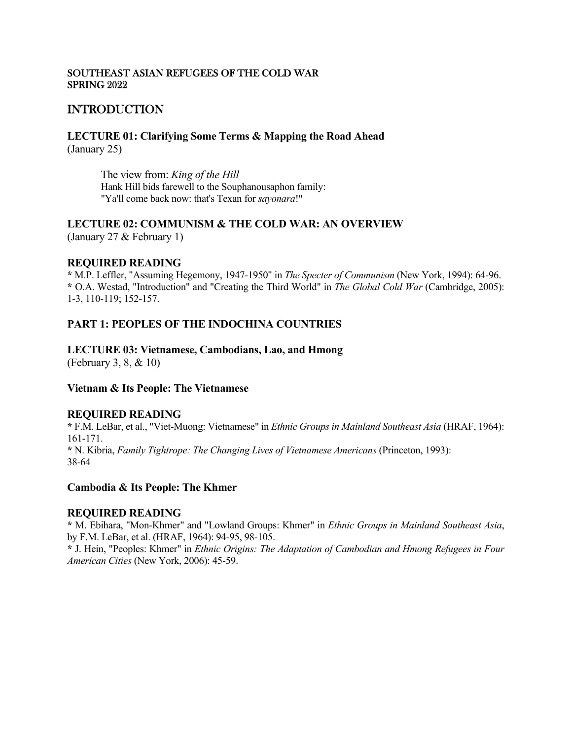#### SOUTHEAST ASIAN REFUGEES OF THE COLD WAR SPRING 2022

# INTRODUCTION

**LECTURE 01: Clarifying Some Terms & Mapping the Road Ahead** (January 25)

> The view from: *King of the Hill* Hank Hill bids farewell to the Souphanousaphon family: "Ya'll come back now: that's Texan for *sayonara*!"

### **LECTURE 02: COMMUNISM & THE COLD WAR: AN OVERVIEW**

(January 27 & February 1)

### **REQUIRED READING**

**\*** M.P. Leffler, "Assuming Hegemony, 1947-1950" in *The Specter of Communism* (New York, 1994): 64-96. **\*** O.A. Westad, "Introduction" and "Creating the Third World" in *The Global Cold War* (Cambridge, 2005): 1-3, 110-119; 152-157.

# **PART 1: PEOPLES OF THE INDOCHINA COUNTRIES**

### **LECTURE 03: Vietnamese, Cambodians, Lao, and Hmong**

(February 3, 8, & 10)

### **Vietnam & Its People: The Vietnamese**

### **REQUIRED READING**

**\*** F.M. LeBar, et al., "Viet-Muong: Vietnamese" in *Ethnic Groups in Mainland Southeast Asia* (HRAF, 1964): 161-171. **\*** N. Kibria, *Family Tightrope: The Changing Lives of Vietnamese Americans* (Princeton, 1993): 38-64

### **Cambodia & Its People: The Khmer**

### **REQUIRED READING**

**\*** M. Ebihara, "Mon-Khmer" and "Lowland Groups: Khmer" in *Ethnic Groups in Mainland Southeast Asia*, by F.M. LeBar, et al. (HRAF, 1964): 94-95, 98-105.

**\*** J. Hein, "Peoples: Khmer" in *Ethnic Origins: The Adaptation of Cambodian and Hmong Refugees in Four American Cities* (New York, 2006): 45-59.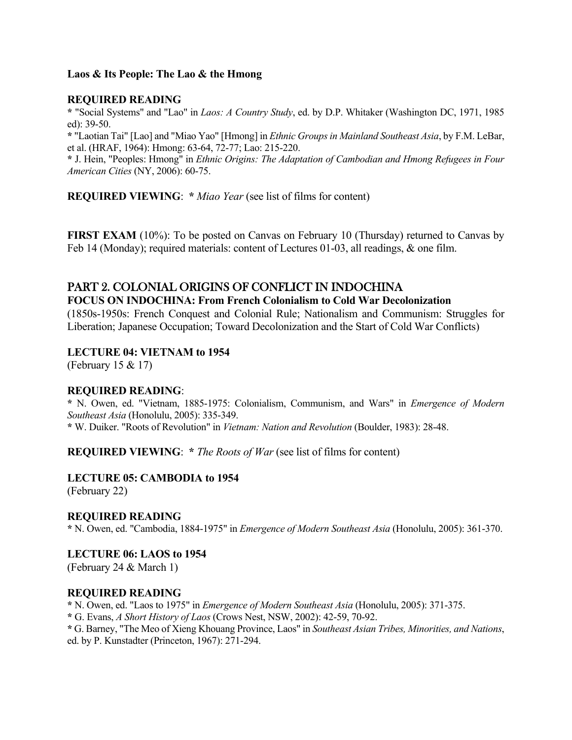### **Laos & Its People: The Lao & the Hmong**

### **REQUIRED READING**

**\*** "Social Systems" and "Lao" in *Laos: A Country Study*, ed. by D.P. Whitaker (Washington DC, 1971, 1985 ed): 39-50.

**\*** "Laotian Tai" [Lao] and "Miao Yao" [Hmong] in *Ethnic Groups in Mainland Southeast Asia*, by F.M. LeBar, et al. (HRAF, 1964): Hmong: 63-64, 72-77; Lao: 215-220.

**\*** J. Hein, "Peoples: Hmong" in *Ethnic Origins: The Adaptation of Cambodian and Hmong Refugees in Four American Cities* (NY, 2006): 60-75.

**REQUIRED VIEWING**: **\*** *Miao Year* (see list of films for content)

**FIRST EXAM** (10%): To be posted on Canvas on February 10 (Thursday) returned to Canvas by Feb 14 (Monday); required materials: content of Lectures 01-03, all readings, & one film.

# PART 2. COLONIAL ORIGINS OF CONFLICT IN INDOCHINA

#### **FOCUS ON INDOCHINA: From French Colonialism to Cold War Decolonization**

(1850s-1950s: French Conquest and Colonial Rule; Nationalism and Communism: Struggles for Liberation; Japanese Occupation; Toward Decolonization and the Start of Cold War Conflicts)

### **LECTURE 04: VIETNAM to 1954**

(February 15 & 17)

### **REQUIRED READING**:

**\*** N. Owen, ed. "Vietnam, 1885-1975: Colonialism, Communism, and Wars" in *Emergence of Modern Southeast Asia* (Honolulu, 2005): 335-349. **\*** W. Duiker. "Roots of Revolution" in *Vietnam: Nation and Revolution* (Boulder, 1983): 28-48.

**REQUIRED VIEWING**: **\*** *The Roots of War* (see list of films for content)

# **LECTURE 05: CAMBODIA to 1954**

(February 22)

### **REQUIRED READING**

**\*** N. Owen, ed. "Cambodia, 1884-1975" in *Emergence of Modern Southeast Asia* (Honolulu, 2005): 361-370.

### **LECTURE 06: LAOS to 1954**

(February 24 & March 1)

### **REQUIRED READING**

**\*** N. Owen, ed. "Laos to 1975" in *Emergence of Modern Southeast Asia* (Honolulu, 2005): 371-375.

**\*** G. Evans, *A Short History of Laos* (Crows Nest, NSW, 2002): 42-59, 70-92.

**\*** G. Barney, "The Meo of Xieng Khouang Province, Laos" in *Southeast Asian Tribes, Minorities, and Nations*, ed. by P. Kunstadter (Princeton, 1967): 271-294.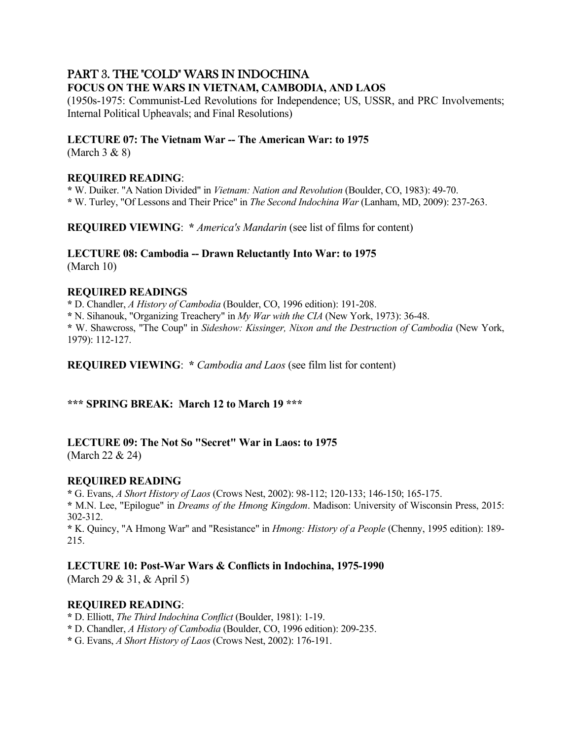# PART 3. THE "COLD" WARS IN INDOCHINA

## **FOCUS ON THE WARS IN VIETNAM, CAMBODIA, AND LAOS**

(1950s-1975: Communist-Led Revolutions for Independence; US, USSR, and PRC Involvements; Internal Political Upheavals; and Final Resolutions)

### **LECTURE 07: The Vietnam War -- The American War: to 1975**

(March 3 & 8)

### **REQUIRED READING**:

**\*** W. Duiker. "A Nation Divided" in *Vietnam: Nation and Revolution* (Boulder, CO, 1983): 49-70. **\*** W. Turley, "Of Lessons and Their Price" in *The Second Indochina War* (Lanham, MD, 2009): 237-263.

**REQUIRED VIEWING**: **\*** *America's Mandarin* (see list of films for content)

#### **LECTURE 08: Cambodia -- Drawn Reluctantly Into War: to 1975** (March 10)

### **REQUIRED READINGS**

**\*** D. Chandler, *A History of Cambodia* (Boulder, CO, 1996 edition): 191-208. **\*** N. Sihanouk, "Organizing Treachery" in *My War with the CIA* (New York, 1973): 36-48. **\*** W. Shawcross, "The Coup" in *Sideshow: Kissinger, Nixon and the Destruction of Cambodia* (New York, 1979): 112-127.

**REQUIRED VIEWING**: **\*** *Cambodia and Laos* (see film list for content)

### **\*\*\* SPRING BREAK: March 12 to March 19 \*\*\***

### **LECTURE 09: The Not So "Secret" War in Laos: to 1975**

(March 22 & 24)

### **REQUIRED READING**

**\*** G. Evans, *A Short History of Laos* (Crows Nest, 2002): 98-112; 120-133; 146-150; 165-175. **\*** M.N. Lee, "Epilogue" in *Dreams of the Hmong Kingdom*. Madison: University of Wisconsin Press, 2015: 302-312.

**\*** K. Quincy, "A Hmong War" and "Resistance" in *Hmong: History of a People* (Chenny, 1995 edition): 189- 215.

### **LECTURE 10: Post-War Wars & Conflicts in Indochina, 1975-1990**

(March 29 & 31, & April 5)

### **REQUIRED READING**:

**\*** D. Elliott, *The Third Indochina Conflict* (Boulder, 1981): 1-19.

**\*** D. Chandler, *A History of Cambodia* (Boulder, CO, 1996 edition): 209-235.

**\*** G. Evans, *A Short History of Laos* (Crows Nest, 2002): 176-191.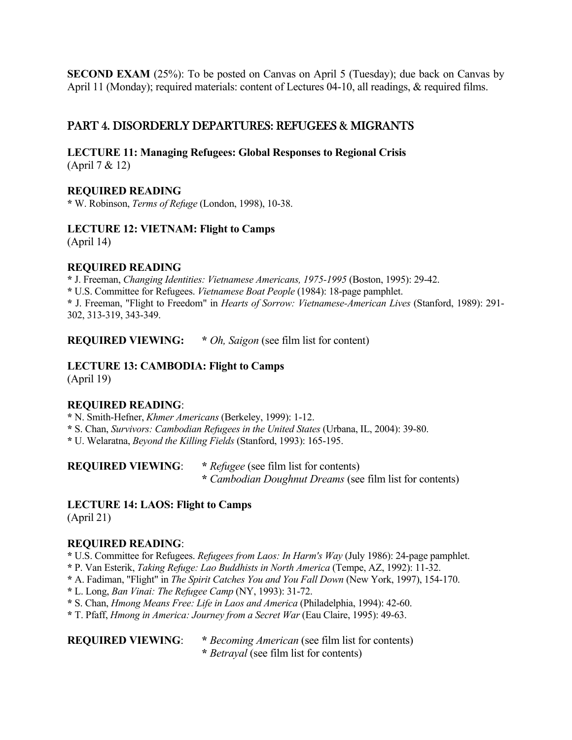**SECOND EXAM** (25%): To be posted on Canvas on April 5 (Tuesday); due back on Canvas by April 11 (Monday); required materials: content of Lectures 04-10, all readings, & required films.

# PART 4. DISORDERLY DEPARTURES: REFUGEES & MIGRANTS

**LECTURE 11: Managing Refugees: Global Responses to Regional Crisis** (April 7 & 12)

### **REQUIRED READING**

**\*** W. Robinson, *Terms of Refuge* (London, 1998), 10-38.

### **LECTURE 12: VIETNAM: Flight to Camps**

(April 14)

### **REQUIRED READING**

**\*** J. Freeman, *Changing Identities: Vietnamese Americans, 1975-1995* (Boston, 1995): 29-42. **\*** U.S. Committee for Refugees. *Vietnamese Boat People* (1984): 18-page pamphlet. **\*** J. Freeman, "Flight to Freedom" in *Hearts of Sorrow: Vietnamese-American Lives* (Stanford, 1989): 291- 302, 313-319, 343-349.

**REQUIRED VIEWING: \*** *Oh, Saigon* (see film list for content)

# **LECTURE 13: CAMBODIA: Flight to Camps**

(April 19)

### **REQUIRED READING**:

**\*** N. Smith-Hefner, *Khmer Americans* (Berkeley, 1999): 1-12.

**\*** S. Chan, *Survivors: Cambodian Refugees in the United States* (Urbana, IL, 2004): 39-80.

**\*** U. Welaratna, *Beyond the Killing Fields* (Stanford, 1993): 165-195.

**REQUIRED VIEWING**: **\*** *Refugee* (see film list for contents)  **\*** *Cambodian Doughnut Dreams* (see film list for contents)

### **LECTURE 14: LAOS: Flight to Camps**

(April 21)

#### **REQUIRED READING**:

**\*** U.S. Committee for Refugees. *Refugees from Laos: In Harm's Way* (July 1986): 24-page pamphlet.

- **\*** P. Van Esterik, *Taking Refuge: Lao Buddhists in North America* (Tempe, AZ, 1992): 11-32.
- **\*** A. Fadiman, "Flight" in *The Spirit Catches You and You Fall Down* (New York, 1997), 154-170.
- **\*** L. Long, *Ban Vinai: The Refugee Camp* (NY, 1993): 31-72.
- **\*** S. Chan, *Hmong Means Free: Life in Laos and America* (Philadelphia, 1994): 42-60.
- **\*** T. Pfaff, *Hmong in America: Journey from a Secret War* (Eau Claire, 1995): 49-63.

**REQUIRED VIEWING**: **\*** *Becoming American* (see film list for contents)  **\*** *Betrayal* (see film list for contents)